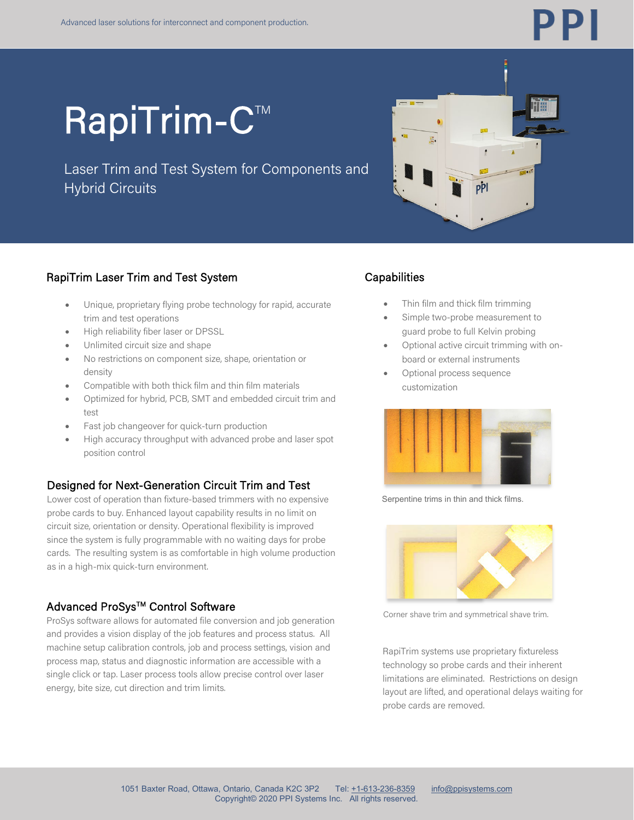

# **RapiTrim-C™**

Laser Trim and Test System for Components and Hybrid Circuits



### RapiTrim Laser Trim and Test System

- Unique, proprietary flying probe technology for rapid, accurate trim and test operations
- High reliability fiber laser or DPSSL
- Unlimited circuit size and shape
- No restrictions on component size, shape, orientation or density
- Compatible with both thick film and thin film materials
- Optimized for hybrid, PCB, SMT and embedded circuit trim and test
- Fast job changeover for quick-turn production
- High accuracy throughput with advanced probe and laser spot position control

### Designed for Next-Generation Circuit Trim and Test

Lower cost of operation than fixture-based trimmers with no expensive probe cards to buy. Enhanced layout capability results in no limit on circuit size, orientation or density. Operational flexibility is improved since the system is fully programmable with no waiting days for probe cards. The resulting system is as comfortable in high volume production as in a high-mix quick-turn environment.

### Advanced ProSys™ Control Software

ProSys software allows for automated file conversion and job generation and provides a vision display of the job features and process status. All machine setup calibration controls, job and process settings, vision and process map, status and diagnostic information are accessible with a single click or tap. Laser process tools allow precise control over laser energy, bite size, cut direction and trim limits.

### **Capabilities**

- Thin film and thick film trimming
- Simple two-probe measurement to guard probe to full Kelvin probing
- Optional active circuit trimming with onboard or external instruments
- Optional process sequence customization



Serpentine trims in thin and thick films.



Corner shave trim and symmetrical shave trim.

RapiTrim systems use proprietary fixtureless technology so probe cards and their inherent limitations are eliminated. Restrictions on design layout are lifted, and operational delays waiting for probe cards are removed.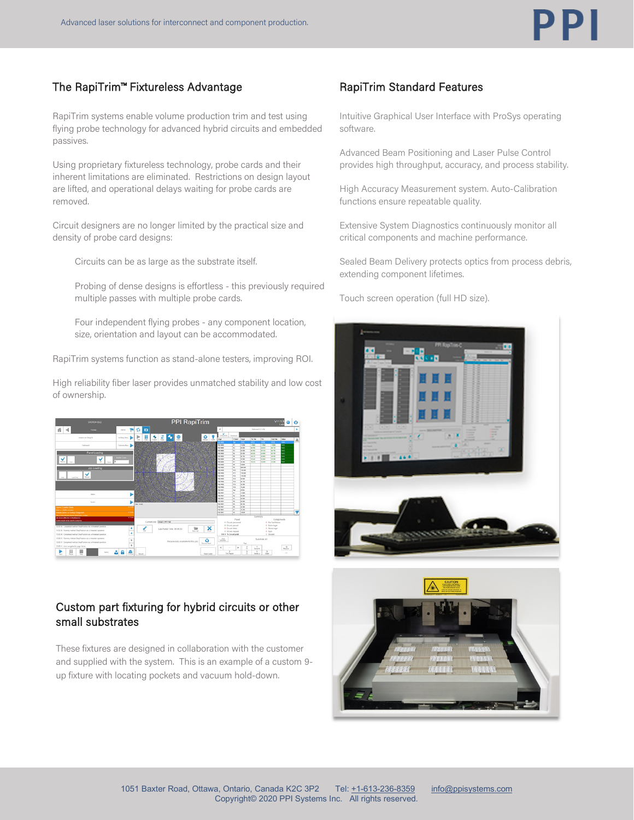### The RapiTrim™ Fixtureless Advantage

RapiTrim systems enable volume production trim and test using flying probe technology for advanced hybrid circuits and embedded passives.

Using proprietary fixtureless technology, probe cards and their inherent limitations are eliminated. Restrictions on design layout are lifted, and operational delays waiting for probe cards are removed.

Circuit designers are no longer limited by the practical size and density of probe card designs:

Circuits can be as large as the substrate itself.

Probing of dense designs is effortless - this previously required multiple passes with multiple probe cards.

Four independent flying probes - any component location, size, orientation and layout can be accommodated.

RapiTrim systems function as stand-alone testers, improving ROI.

High reliability fiber laser provides unmatched stability and low cost of ownership.



### Custom part fixturing for hybrid circuits or other small substrates

These fixtures are designed in collaboration with the customer and supplied with the system. This is an example of a custom 9 up fixture with locating pockets and vacuum hold-down.

### RapiTrim Standard Features

Intuitive Graphical User Interface with ProSys operating software.

Advanced Beam Positioning and Laser Pulse Control provides high throughput, accuracy, and process stability.

High Accuracy Measurement system. Auto-Calibration functions ensure repeatable quality.

Extensive System Diagnostics continuously monitor all critical components and machine performance.

Sealed Beam Delivery protects optics from process debris, extending component lifetimes.

Touch screen operation (full HD size).



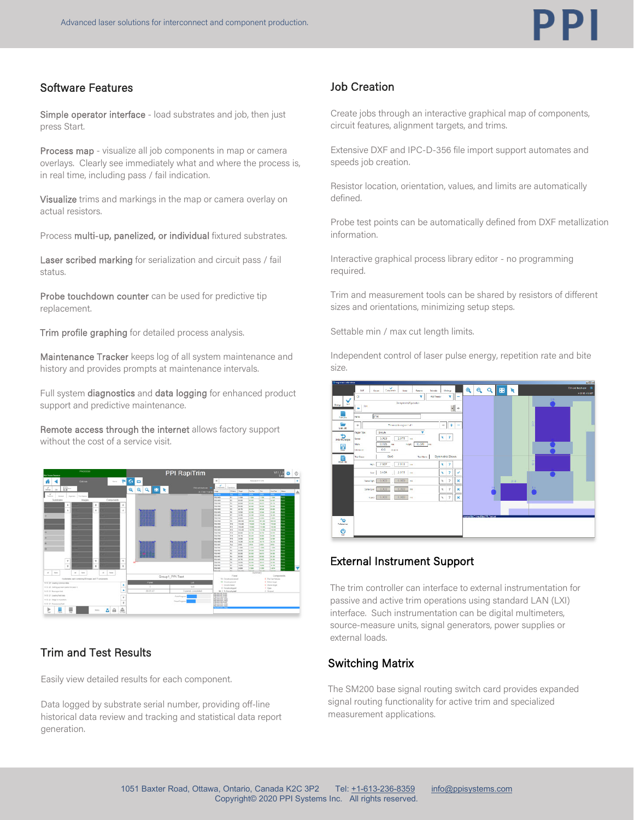### Software Features

Simple operator interface - load substrates and job, then just press Start.

Process map - visualize all job components in map or camera overlays. Clearly see immediately what and where the process is, in real time, including pass / fail indication.

Visualize trims and markings in the map or camera overlay on actual resistors.

Process multi-up, panelized, or individual fixtured substrates.

Laser scribed marking for serialization and circuit pass / fail status.

Probe touchdown counter can be used for predictive tip replacement.

Trim profile graphing for detailed process analysis.

Maintenance Tracker keeps log of all system maintenance and history and provides prompts at maintenance intervals.

Full system diagnostics and data logging for enhanced product support and predictive maintenance.

Remote access through the internet allows factory support without the cost of a service visit.



### Trim and Test Results

Easily view detailed results for each component.

Data logged by substrate serial number, providing off-line historical data review and tracking and statistical data report generation.

### Job Creation

Create jobs through an interactive graphical map of components, circuit features, alignment targets, and trims.

Extensive DXF and IPC-D-356 file import support automates and speeds job creation.

Resistor location, orientation, values, and limits are automatically defined.

Probe test points can be automatically defined from DXF metallization information.

Interactive graphical process library editor - no programming required.

Trim and measurement tools can be shared by resistors of different sizes and orientations, minimizing setup steps.

Settable min / max cut length limits.

Independent control of laser pulse energy, repetition rate and bite size.



### External Instrument Support

The trim controller can interface to external instrumentation for passive and active trim operations using standard LAN (LXI) interface. Such instrumentation can be digital multimeters, source-measure units, signal generators, power supplies or external loads.

### Switching Matrix

The SM200 base signal routing switch card provides expanded signal routing functionality for active trim and specialized measurement applications.